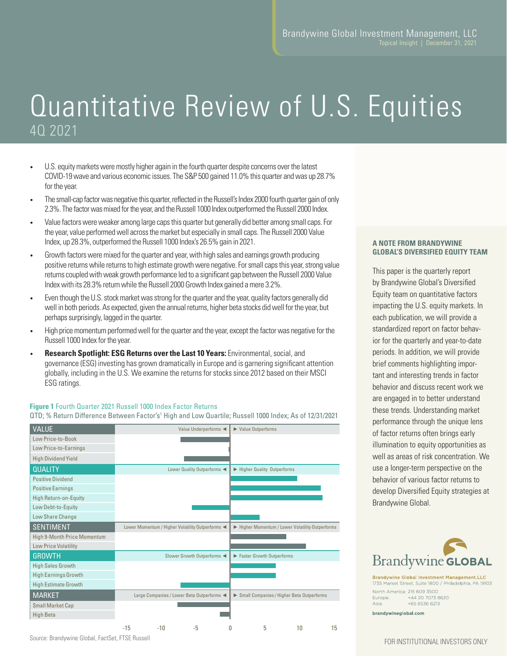# Quantitative Review of U.S. Equities 4Q 2021

- U.S. equity markets were mostly higher again in the fourth quarter despite concerns over the latest COVID-19 wave and various economic issues. The S&P 500 gained 11.0% this quarter and was up 28.7% for the year.
- The small-cap factor was negative this quarter, reflected in the Russell's Index 2000 fourth quarter gain of only 2.3%. The factor was mixed for the year, and the Russell 1000 Index outperformed the Russell 2000 Index.
- Value factors were weaker among large caps this quarter but generally did better among small caps. For the year, value performed well across the market but especially in small caps. The Russell 2000 Value Index, up 28.3%, outperformed the Russell 1000 Index's 26.5% gain in 2021.
- Growth factors were mixed for the quarter and year, with high sales and earnings growth producing positive returns while returns to high estimate growth were negative. For small caps this year, strong value returns coupled with weak growth performance led to a significant gap between the Russell 2000 Value Index with its 28.3% return while the Russell 2000 Growth Index gained a mere 3.2%.
- Even though the U.S. stock market was strong for the quarter and the year, quality factors generally did well in both periods. As expected, given the annual returns, higher beta stocks did well for the year, but perhaps surprisingly, lagged in the quarter.
- High price momentum performed well for the quarter and the year, except the factor was negative for the Russell 1000 Index for the year.
- **Research Spotlight: ESG Returns over the Last 10 Years:** Environmental, social, and governance (ESG) investing has grown dramatically in Europe and is garnering significant attention globally, including in the U.S. We examine the returns for stocks since 2012 based on their MSCI ESG ratings.

### **Figure 1** Fourth Quarter 2021 Russell 1000 Index Factor Returns

QTD; % Return Difference Between Factor's1 High and Low Quartile; Russell 1000 Index; As of 12/31/2021

| <b>VALUE</b>                 |       |       | Value Underperforms                            |   | ▶ Value Outperforms                            |
|------------------------------|-------|-------|------------------------------------------------|---|------------------------------------------------|
| Low Price-to-Book            |       |       |                                                |   |                                                |
| Low Price-to-Earnings        |       |       |                                                |   |                                                |
| <b>High Dividend Yield</b>   |       |       |                                                |   |                                                |
| <b>QUALITY</b>               |       |       | Lower Quality Outperforms                      |   | Higher Quality Outperforms                     |
| <b>Positive Dividend</b>     |       |       |                                                |   |                                                |
| <b>Positive Earnings</b>     |       |       |                                                |   |                                                |
| <b>High Return-on-Equity</b> |       |       |                                                |   |                                                |
| Low Debt-to-Equity           |       |       |                                                |   |                                                |
| Low Share Change             |       |       |                                                |   |                                                |
| <b>SENTIMENT</b>             |       |       | Lower Momentum / Higher Volatility Outperforms |   | Higher Momentum / Lower Volatility Outperforms |
| High 9-Month Price Momentum  |       |       |                                                |   |                                                |
| <b>Low Price Volatility</b>  |       |       |                                                |   |                                                |
| <b>GROWTH</b>                |       |       | Slower Growth Outperforms                      |   | Faster Growth Outperforms                      |
| <b>High Sales Growth</b>     |       |       |                                                |   |                                                |
| <b>High Earnings Growth</b>  |       |       |                                                |   |                                                |
| <b>High Estimate Growth</b>  |       |       |                                                |   |                                                |
| <b>MARKET</b>                |       |       | Large Companies / Lower Beta Outperforms <     |   | Small Companies / Higher Beta Outperforms      |
| <b>Small Market Cap</b>      |       |       |                                                |   |                                                |
| <b>High Beta</b>             |       |       |                                                |   |                                                |
|                              | $-15$ | $-10$ | -5                                             | 0 | 5<br>10<br>15                                  |

#### **A NOTE FROM BRANDYWINE GLOBAL'S DIVERSIFIED EQUITY TEAM**

This paper is the quarterly report by Brandywine Global's Diversified Equity team on quantitative factors impacting the U.S. equity markets. In each publication, we will provide a standardized report on factor behavior for the quarterly and year-to-date periods. In addition, we will provide brief comments highlighting important and interesting trends in factor behavior and discuss recent work we are engaged in to better understand these trends. Understanding market performance through the unique lens of factor returns often brings early illumination to equity opportunities as well as areas of risk concentration. We use a longer-term perspective on the behavior of various factor returns to develop Diversified Equity strategies at Brandywine Global.



**Brandywine Global Investment Management LLC** 1735 Market Street, Suite 1800 / Philadelphia, PA 19103 North America: 215 609 3500  $+442070738620$ Europe: +65 6536 6213 Asia:

brandywineglobal.com

FOR INSTITUTIONAL INVESTORS ONLY

Source: Brandywine Global, FactSet, FTSE Russell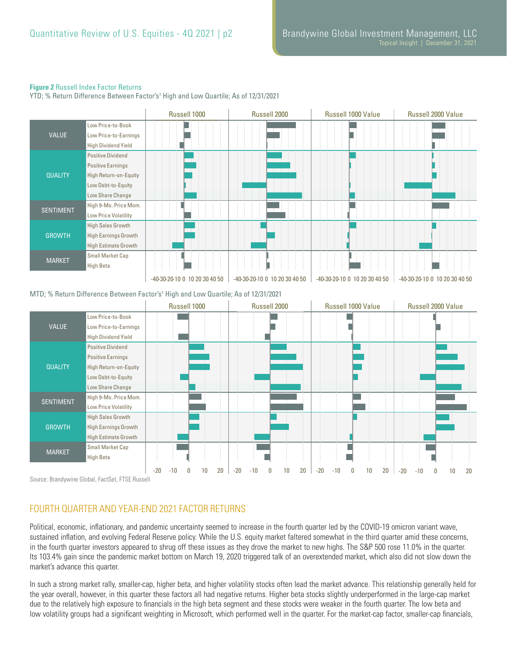## **Figure 2** Russell Index Factor Returns

YTD; % Return Difference Between Factor's1 High and Low Quartile; As of 12/31/2021



## MTD; % Return Difference Between Factor's1 High and Low Quartile; As of 12/31/2021



Source: Brandywine Global, FactSet, FTSE Russell

## FOURTH QUARTER AND YEAR-END 2021 FACTOR RETURNS

Political, economic, inflationary, and pandemic uncertainty seemed to increase in the fourth quarter led by the COVID-19 omicron variant wave, sustained inflation, and evolving Federal Reserve policy. While the U.S. equity market faltered somewhat in the third quarter amid these concerns, in the fourth quarter investors appeared to shrug off these issues as they drove the market to new highs. The S&P 500 rose 11.0% in the quarter. Its 103.4% gain since the pandemic market bottom on March 19, 2020 triggered talk of an overextended market, which also did not slow down the market's advance this quarter.

In such a strong market rally, smaller-cap, higher beta, and higher volatility stocks often lead the market advance. This relationship generally held for the year overall, however, in this quarter these factors all had negative returns. Higher beta stocks slightly underperformed in the large-cap market due to the relatively high exposure to financials in the high beta segment and these stocks were weaker in the fourth quarter. The low beta and low volatility groups had a significant weighting in Microsoft, which performed well in the quarter. For the market-cap factor, smaller-cap financials,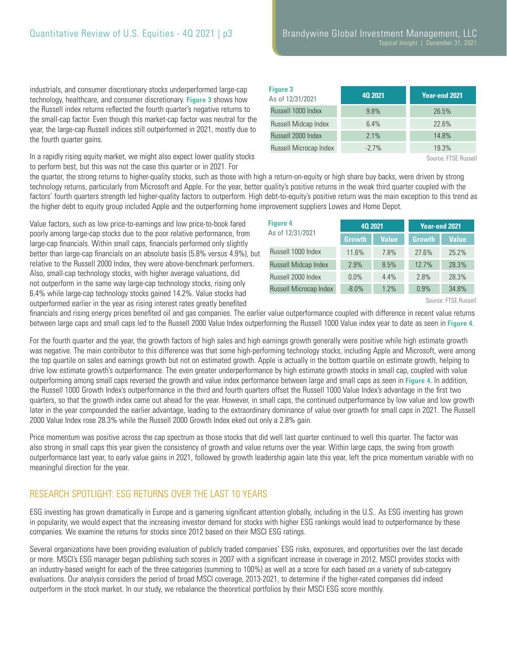industrials, and consumer discretionary stocks underperformed large-cap technology, healthcare, and consumer discretionary. **Figure 3** shows how the Russell index returns reflected the fourth quarter's negative returns to the small-cap factor. Even though this market-cap factor was neutral for the year, the large-cap Russell indices still outperformed in 2021, mostly due to the fourth quarter gains.

In a rapidly rising equity market, we might also expect lower quality stocks to perform best, but this was not the case this quarter or in 2021. For

| <b>Figure 3</b><br>As of 12/31/2021 | 40 20 21 | Year-end 2021 |
|-------------------------------------|----------|---------------|
| Russell 1000 Index                  | 9.8%     | 26.5%         |
| Russell Midcap Index                | 6.4%     | 22.6%         |
| Russell 2000 Index                  | 2.1%     | 14.8%         |
| Russell Microcap Index              | $-2.7\%$ | 19.3%         |

Source: FTSE Russell

the quarter, the strong returns to higher-quality stocks, such as those with high a return-on-equity or high share buy backs, were driven by strong technology returns, particularly from Microsoft and Apple. For the year, better quality's positive returns in the weak third quarter coupled with the factors' fourth quarters strength led higher-quality factors to outperform. High debt-to-equity's positive return was the main exception to this trend as the higher debt to equity group included Apple and the outperforming home improvement suppliers Lowes and Home Depot.

Value factors, such as low price-to-earnings and low price-to-book fared poorly among large-cap stocks due to the poor relative performance, from large-cap financials. Within small caps, financials performed only slightly better than large-cap financials on an absolute basis (5.8% versus 4.9%), but relative to the Russell 2000 Index, they were above-benchmark performers. Also, small-cap technology stocks, with higher average valuations, did not outperform in the same way large-cap technology stocks, rising only 6.4% while large-cap technology stocks gained 14.2%. Value stocks had outperformed earlier in the year as rising interest rates greatly benefited

| <b>Figure 4</b>        | 40 20 21      |              | Year-end 2021 |              |  |
|------------------------|---------------|--------------|---------------|--------------|--|
| As of 12/31/2021       | <b>Growth</b> | <b>Value</b> | <b>Growth</b> | <b>Value</b> |  |
| Russell 1000 Index     | 11.6%         | 7.8%         | 27.6%         | 25.2%        |  |
| Russell Midcap Index   | 2.9%          | 8.5%         | 12.7%         | 28.3%        |  |
| Russell 2000 Index     | $0.0\%$       | 4.4%         | 2.8%          | 28.3%        |  |
| Russell Microcap Index | $-8.0\%$      | 1.2%         | 0.9%          | 34.8%        |  |

Source: FTSE Russell

financials and rising energy prices benefited oil and gas companies. The earlier value outperformance coupled with difference in recent value returns between large caps and small caps led to the Russell 2000 Value Index outperforming the Russell 1000 Value index year to date as seen in **Figure 4**.

For the fourth quarter and the year, the growth factors of high sales and high earnings growth generally were positive while high estimate growth was negative. The main contributor to this difference was that some high-performing technology stocks, including Apple and Microsoft, were among the top quartile on sales and earnings growth but not on estimated growth. Apple is actually in the bottom quartile on estimate growth, helping to drive low estimate growth's outperformance. The even greater underperformance by high estimate growth stocks in small cap, coupled with value outperforming among small caps reversed the growth and value index performance between large and small caps as seen in **Figure 4**. In addition, the Russell 1000 Growth Index's outperformance in the third and fourth quarters offset the Russell 1000 Value Index's advantage in the first two quarters, so that the growth index came out ahead for the year. However, in small caps, the continued outperformance by low value and low growth later in the year compounded the earlier advantage, leading to the extraordinary dominance of value over growth for small caps in 2021. The Russell 2000 Value Index rose 28.3% while the Russell 2000 Growth Index eked out only a 2.8% gain.

Price momentum was positive across the cap spectrum as those stocks that did well last quarter continued to well this quarter. The factor was also strong in small caps this year given the consistency of growth and value returns over the year. Within large caps, the swing from growth outperformance last year, to early value gains in 2021, followed by growth leadership again late this year, left the price momentum variable with no meaningful direction for the year.

# RESEARCH SPOTLIGHT: ESG RETURNS OVER THE LAST 10 YEARS

ESG investing has grown dramatically in Europe and is garnering significant attention globally, including in the U.S.. As ESG investing has grown in popularity, we would expect that the increasing investor demand for stocks with higher ESG rankings would lead to outperformance by these companies. We examine the returns for stocks since 2012 based on their MSCI ESG ratings.

Several organizations have been providing evaluation of publicly traded companies' ESG risks, exposures, and opportunities over the last decade or more. MSCI's ESG manager began publishing such scores in 2007 with a significant increase in coverage in 2012. MSCI provides stocks with an industry-based weight for each of the three categories (summing to 100%) as well as a score for each based on a variety of sub-category evaluations. Our analysis considers the period of broad MSCI coverage, 2013-2021, to determine if the higher-rated companies did indeed outperform in the stock market. In our study, we rebalance the theoretical portfolios by their MSCI ESG score monthly.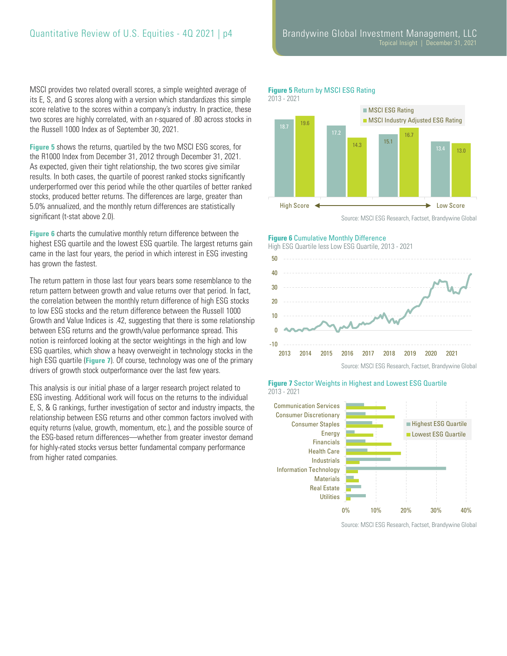MSCI provides two related overall scores, a simple weighted average of its E, S, and G scores along with a version which standardizes this simple score relative to the scores within a company's industry. In practice, these two scores are highly correlated, with an r-squared of .80 across stocks in the Russell 1000 Index as of September 30, 2021.

**Figure 5** shows the returns, quartiled by the two MSCI ESG scores, for the R1000 Index from December 31, 2012 through December 31, 2021. As expected, given their tight relationship, the two scores give similar results. In both cases, the quartile of poorest ranked stocks significantly underperformed over this period while the other quartiles of better ranked stocks, produced better returns. The differences are large, greater than 5.0% annualized, and the monthly return differences are statistically significant (t-stat above 2.0).

**Figure 6** charts the cumulative monthly return difference between the highest ESG quartile and the lowest ESG quartile. The largest returns gain came in the last four years, the period in which interest in ESG investing has grown the fastest.

The return pattern in those last four years bears some resemblance to the return pattern between growth and value returns over that period. In fact, the correlation between the monthly return difference of high ESG stocks to low ESG stocks and the return difference between the Russell 1000 Growth and Value Indices is .42, suggesting that there is some relationship between ESG returns and the growth/value performance spread. This notion is reinforced looking at the sector weightings in the high and low ESG quartiles, which show a heavy overweight in technology stocks in the high ESG quartile (**Figure 7**). Of course, technology was one of the primary drivers of growth stock outperformance over the last few years.

This analysis is our initial phase of a larger research project related to ESG investing. Additional work will focus on the returns to the individual E, S, & G rankings, further investigation of sector and industry impacts, the relationship between ESG returns and other common factors involved with equity returns (value, growth, momentum, etc.), and the possible source of the ESG-based return differences—whether from greater investor demand for highly-rated stocks versus better fundamental company performance from higher rated companies.

# **Figure 5** Return by MSCI ESG Rating



Source: MSCI ESG Research, Factset, Brandywine Global

### **Figure 6** Cumulative Monthly Difference

High ESG Quartile less Low ESG Quartile, 2013 - 2021





#### **Figure 7** Sector Weights in Highest and Lowest ESG Quartile 2013 - 2021

Source: MSCI ESG Research, Factset, Brandywine Global